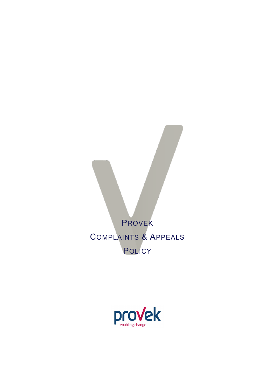PROVEK COMPLAINTS & APPEALS **POLICY** 

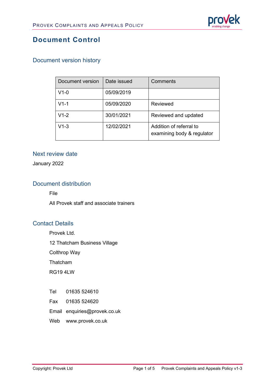

## **Document Control**

## Document version history

| Document version | Date issued | Comments                                              |
|------------------|-------------|-------------------------------------------------------|
| $V1-0$           | 05/09/2019  |                                                       |
| $V1-1$           | 05/09/2020  | Reviewed                                              |
| $V1-2$           | 30/01/2021  | Reviewed and updated                                  |
| $V1-3$           | 12/02/2021  | Addition of referral to<br>examining body & regulator |

### Next review date

January 2022

## Document distribution

File

All Provek staff and associate trainers

### Contact Details

Provek Ltd.

12 Thatcham Business Village

Colthrop Way

Thatcham

RG19 4LW

- Tel 01635 524610
- Fax 01635 524620

Email enquiries@provek.co.uk

Web [www.provek.co.uk](http://www.provek.co.uk/)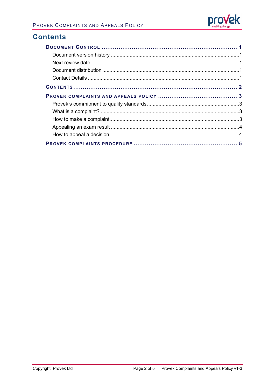

## **Contents**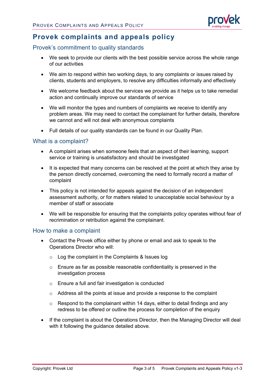

# **Provek complaints and appeals policy**

### Provek's commitment to quality standards

- We seek to provide our clients with the best possible service across the whole range of our activities
- We aim to respond within two working days, to any complaints or issues raised by clients, students and employers, to resolve any difficulties informally and effectively
- We welcome feedback about the services we provide as it helps us to take remedial action and continually improve our standards of service
- We will monitor the types and numbers of complaints we receive to identify any problem areas. We may need to contact the complainant for further details, therefore we cannot and will not deal with anonymous complaints
- Full details of our quality standards can be found in our Quality Plan.

#### What is a complaint?

- A complaint arises when someone feels that an aspect of their learning, support service or training is unsatisfactory and should be investigated
- It is expected that many concerns can be resolved at the point at which they arise by the person directly concerned, overcoming the need to formally record a matter of complaint
- This policy is not intended for appeals against the decision of an independent assessment authority, or for matters related to unacceptable social behaviour by a member of staff or associate
- We will be responsible for ensuring that the complaints policy operates without fear of recrimination or retribution against the complainant.

### How to make a complaint

- Contact the Provek office either by phone or email and ask to speak to the Operations Director who will:
	- o Log the complaint in the Complaints & Issues log
	- $\circ$  Ensure as far as possible reasonable confidentiality is preserved in the investigation process
	- o Ensure a full and fair investigation is conducted
	- o Address all the points at issue and provide a response to the complaint
	- $\circ$  Respond to the complainant within 14 days, either to detail findings and any redress to be offered or outline the process for completion of the enquiry
- If the complaint is about the Operations Director, then the Managing Director will deal with it following the guidance detailed above.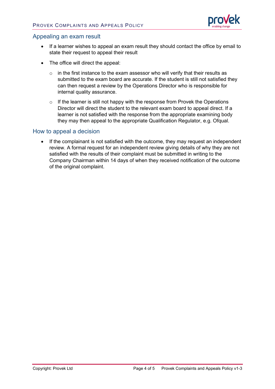

#### Appealing an exam result

- If a learner wishes to appeal an exam result they should contact the office by email to state their request to appeal their result
- The office will direct the appeal:
	- $\circ$  in the first instance to the exam assessor who will verify that their results as submitted to the exam board are accurate. If the student is still not satisfied they can then request a review by the Operations Director who is responsible for internal quality assurance.
	- $\circ$  If the learner is still not happy with the response from Provek the Operations Director will direct the student to the relevant exam board to appeal direct. If a learner is not satisfied with the response from the appropriate examining body they may then appeal to the appropriate Qualification Regulator, e.g. Ofqual.

#### How to appeal a decision

• If the complainant is not satisfied with the outcome, they may request an independent review. A formal request for an independent review giving details of why they are not satisfied with the results of their complaint must be submitted in writing to the Company Chairman within 14 days of when they received notification of the outcome of the original complaint.